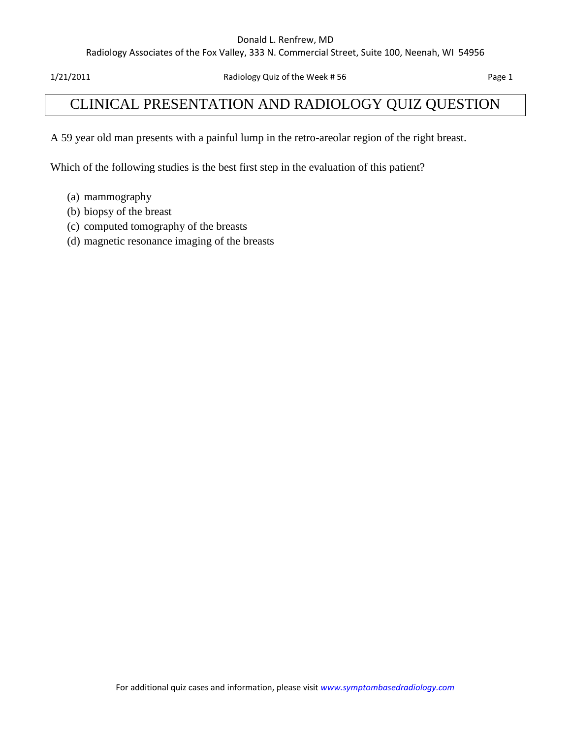#### Donald L. Renfrew, MD

Radiology Associates of the Fox Valley, 333 N. Commercial Street, Suite 100, Neenah, WI 54956

1/21/2011 Radiology Quiz of the Week # 56 Page 1

## CLINICAL PRESENTATION AND RADIOLOGY QUIZ QUESTION

A 59 year old man presents with a painful lump in the retro-areolar region of the right breast.

Which of the following studies is the best first step in the evaluation of this patient?

- (a) mammography
- (b) biopsy of the breast
- (c) computed tomography of the breasts
- (d) magnetic resonance imaging of the breasts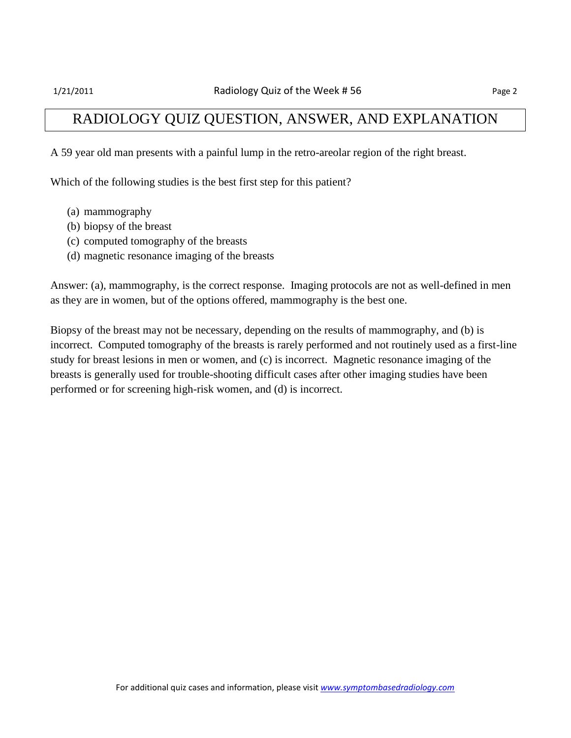### RADIOLOGY QUIZ QUESTION, ANSWER, AND EXPLANATION

A 59 year old man presents with a painful lump in the retro-areolar region of the right breast.

Which of the following studies is the best first step for this patient?

- (a) mammography
- (b) biopsy of the breast
- (c) computed tomography of the breasts
- (d) magnetic resonance imaging of the breasts

Answer: (a), mammography, is the correct response. Imaging protocols are not as well-defined in men as they are in women, but of the options offered, mammography is the best one.

Biopsy of the breast may not be necessary, depending on the results of mammography, and (b) is incorrect. Computed tomography of the breasts is rarely performed and not routinely used as a first-line study for breast lesions in men or women, and (c) is incorrect. Magnetic resonance imaging of the breasts is generally used for trouble-shooting difficult cases after other imaging studies have been performed or for screening high-risk women, and (d) is incorrect.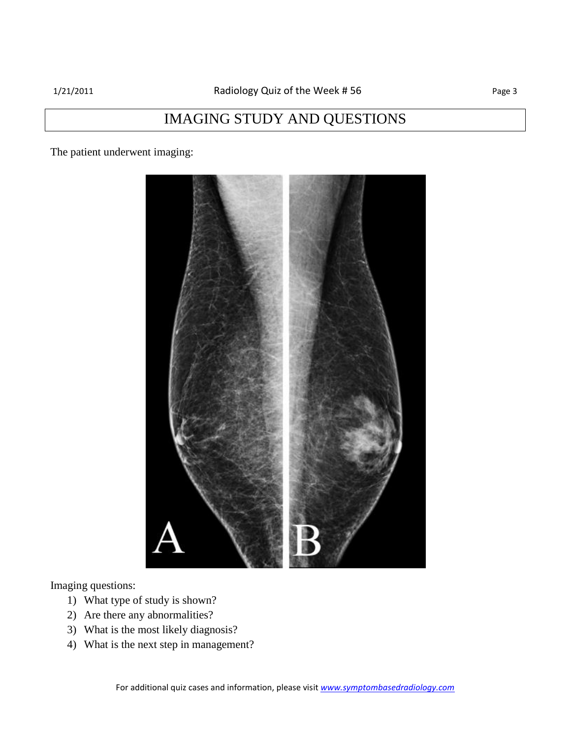## IMAGING STUDY AND QUESTIONS

The patient underwent imaging:



Imaging questions:

- 1) What type of study is shown?
- 2) Are there any abnormalities?
- 3) What is the most likely diagnosis?
- 4) What is the next step in management?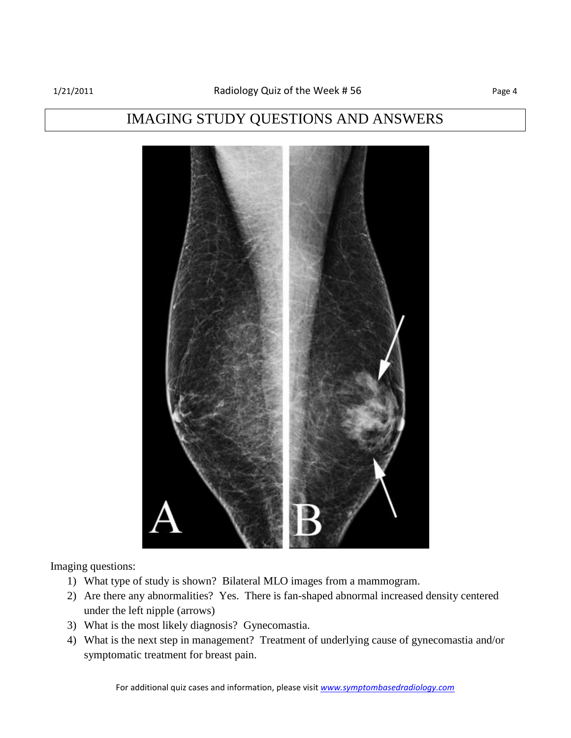### IMAGING STUDY QUESTIONS AND ANSWERS



Imaging questions:

- 1) What type of study is shown? Bilateral MLO images from a mammogram.
- 2) Are there any abnormalities? Yes. There is fan-shaped abnormal increased density centered under the left nipple (arrows)
- 3) What is the most likely diagnosis? Gynecomastia.
- 4) What is the next step in management? Treatment of underlying cause of gynecomastia and/or symptomatic treatment for breast pain.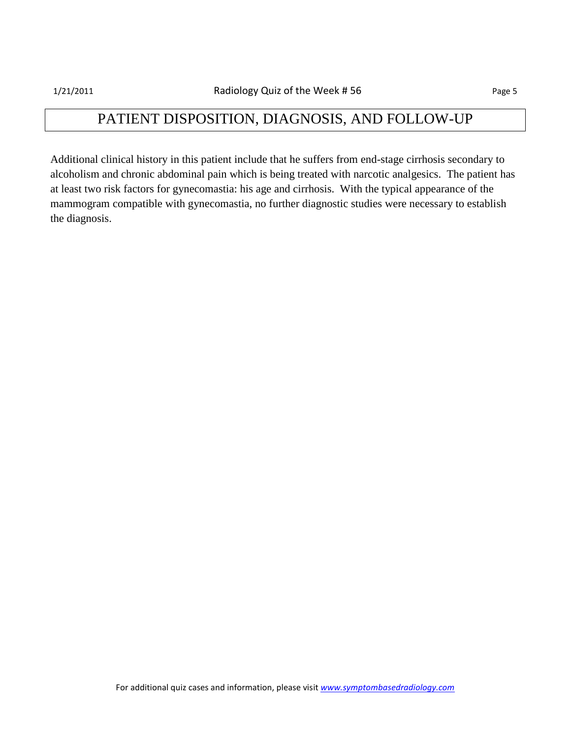# PATIENT DISPOSITION, DIAGNOSIS, AND FOLLOW-UP

Additional clinical history in this patient include that he suffers from end-stage cirrhosis secondary to alcoholism and chronic abdominal pain which is being treated with narcotic analgesics. The patient has at least two risk factors for gynecomastia: his age and cirrhosis. With the typical appearance of the mammogram compatible with gynecomastia, no further diagnostic studies were necessary to establish the diagnosis.